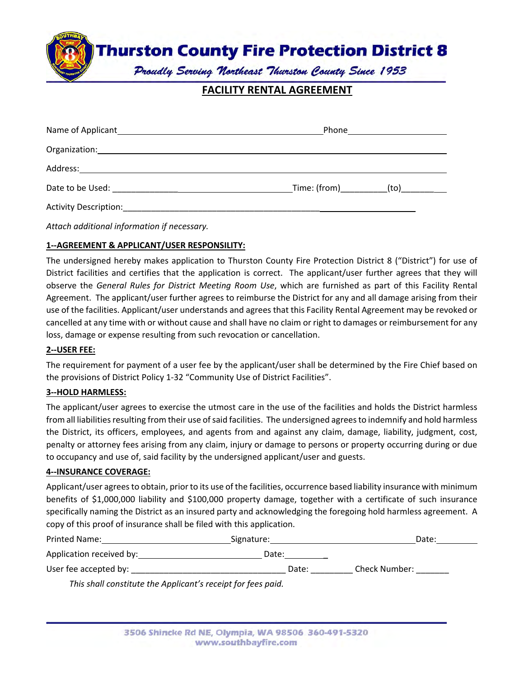**Thurston County Fire Protection District 8** 

Proudly Serving Northeast Thurston County Since 1953

# **FACILITY RENTAL AGREEMENT**

|                                                                                                                                                                                                                                      | Phone ________________________           |  |
|--------------------------------------------------------------------------------------------------------------------------------------------------------------------------------------------------------------------------------------|------------------------------------------|--|
|                                                                                                                                                                                                                                      |                                          |  |
|                                                                                                                                                                                                                                      |                                          |  |
| Date to be Used: <u>Date of the Used of the Used of the Used of the Used of the Used of the Used of the Used of the Used of the Used of the Used of the Used of the Used of the Used of the Used of the Used of the Used of the </u> | _Time: (from)____________(to)___________ |  |
| <b>Activity Description:</b>                                                                                                                                                                                                         |                                          |  |

*Attach additional information if necessary.*

## **1‐‐AGREEMENT & APPLICANT/USER RESPONSILITY:**

The undersigned hereby makes application to Thurston County Fire Protection District 8 ("District") for use of District facilities and certifies that the application is correct. The applicant/user further agrees that they will observe the *General Rules for District Meeting Room Use*, which are furnished as part of this Facility Rental Agreement. The applicant/user further agrees to reimburse the District for any and all damage arising from their use of the facilities. Applicant/user understands and agrees that this Facility Rental Agreement may be revoked or cancelled at any time with or without cause and shall have no claim or right to damages or reimbursement for any loss, damage or expense resulting from such revocation or cancellation.

### **2‐‐USER FEE:**

The requirement for payment of a user fee by the applicant/user shall be determined by the Fire Chief based on the provisions of District Policy 1‐32 "Community Use of District Facilities".

#### **3‐‐HOLD HARMLESS:**

The applicant/user agrees to exercise the utmost care in the use of the facilities and holds the District harmless from all liabilities resulting from their use of said facilities. The undersigned agrees to indemnify and hold harmless the District, its officers, employees, and agents from and against any claim, damage, liability, judgment, cost, penalty or attorney fees arising from any claim, injury or damage to persons or property occurring during or due to occupancy and use of, said facility by the undersigned applicant/user and guests.

#### **4‐‐INSURANCE COVERAGE:**

Applicant/user agreesto obtain, prior to its use of the facilities, occurrence based liability insurance with minimum benefits of \$1,000,000 liability and \$100,000 property damage, together with a certificate of such insurance specifically naming the District as an insured party and acknowledging the foregoing hold harmless agreement. A copy of this proof of insurance shall be filed with this application.

| <b>Printed Name:</b>     | Signature: | Date:                |
|--------------------------|------------|----------------------|
| Application received by: | Date:      |                      |
| User fee accepted by:    | Date:      | <b>Check Number:</b> |

*This shall constitute the Applicant's receipt for fees paid.*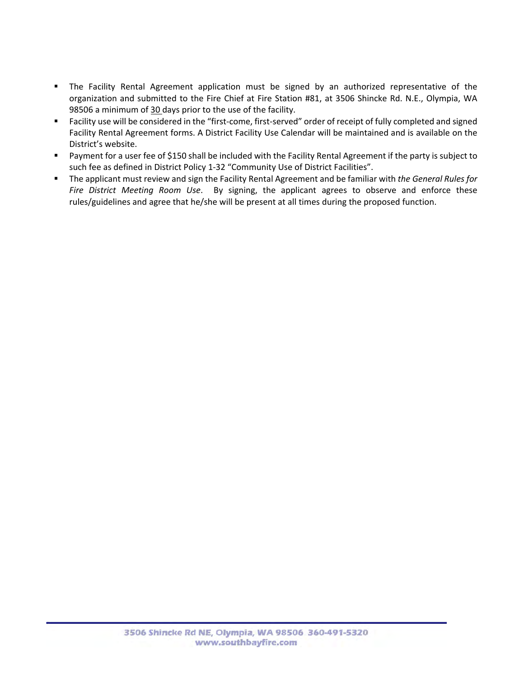- The Facility Rental Agreement application must be signed by an authorized representative of the organization and submitted to the Fire Chief at Fire Station #81, at 3506 Shincke Rd. N.E., Olympia, WA 98506 a minimum of 30 days prior to the use of the facility.
- Facility use will be considered in the "first-come, first-served" order of receipt of fully completed and signed Facility Rental Agreement forms. A District Facility Use Calendar will be maintained and is available on the District's website.
- Payment for a user fee of \$150 shall be included with the Facility Rental Agreement if the party is subject to such fee as defined in District Policy 1‐32 "Community Use of District Facilities".
- The applicant must review and sign the Facility Rental Agreement and be familiar with *the General Rules for Fire District Meeting Room Use*. By signing, the applicant agrees to observe and enforce these rules/guidelines and agree that he/she will be present at all times during the proposed function.